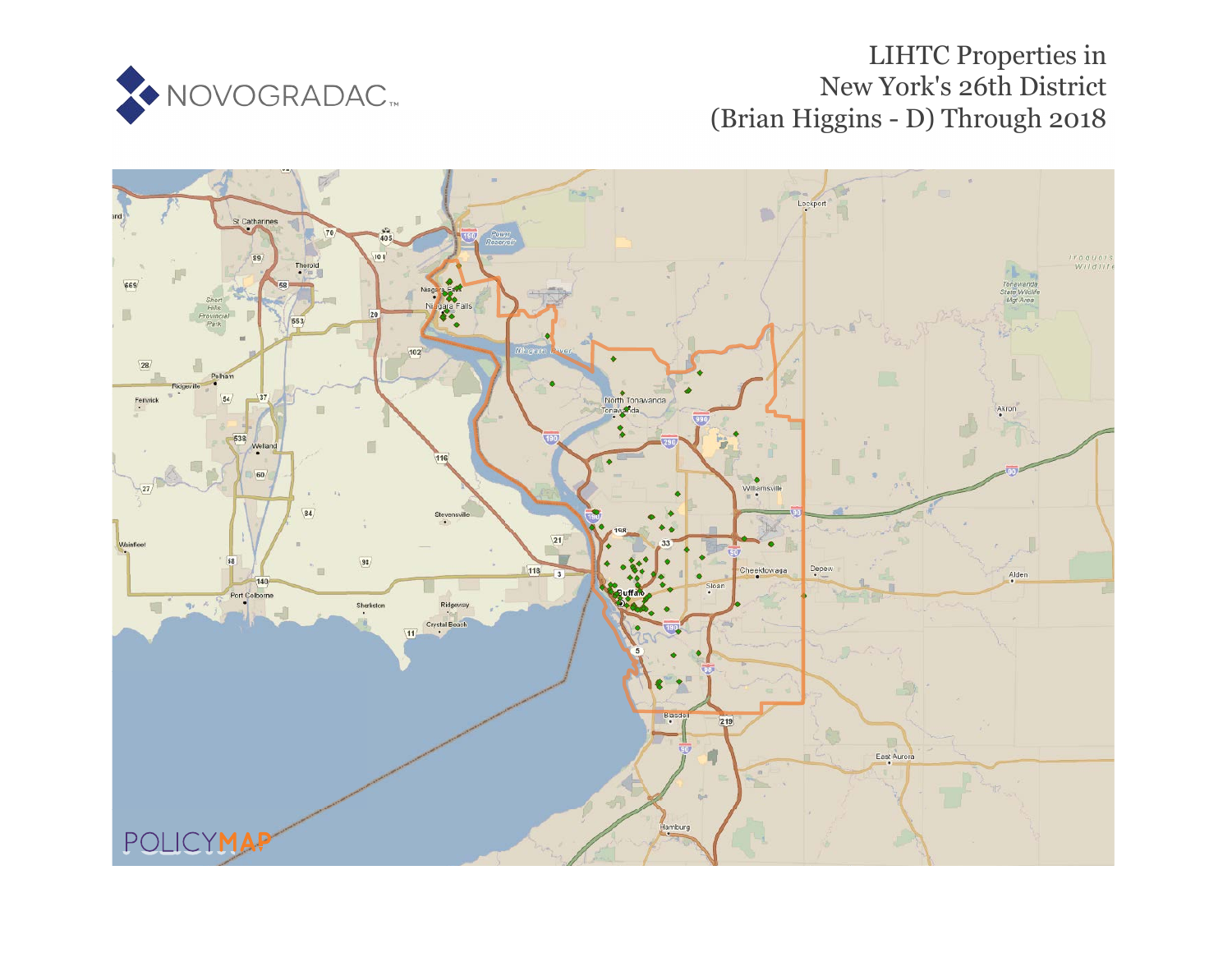

# LIHTC Properties in New York's 26th District (Brian Higgins - D) Through 2018

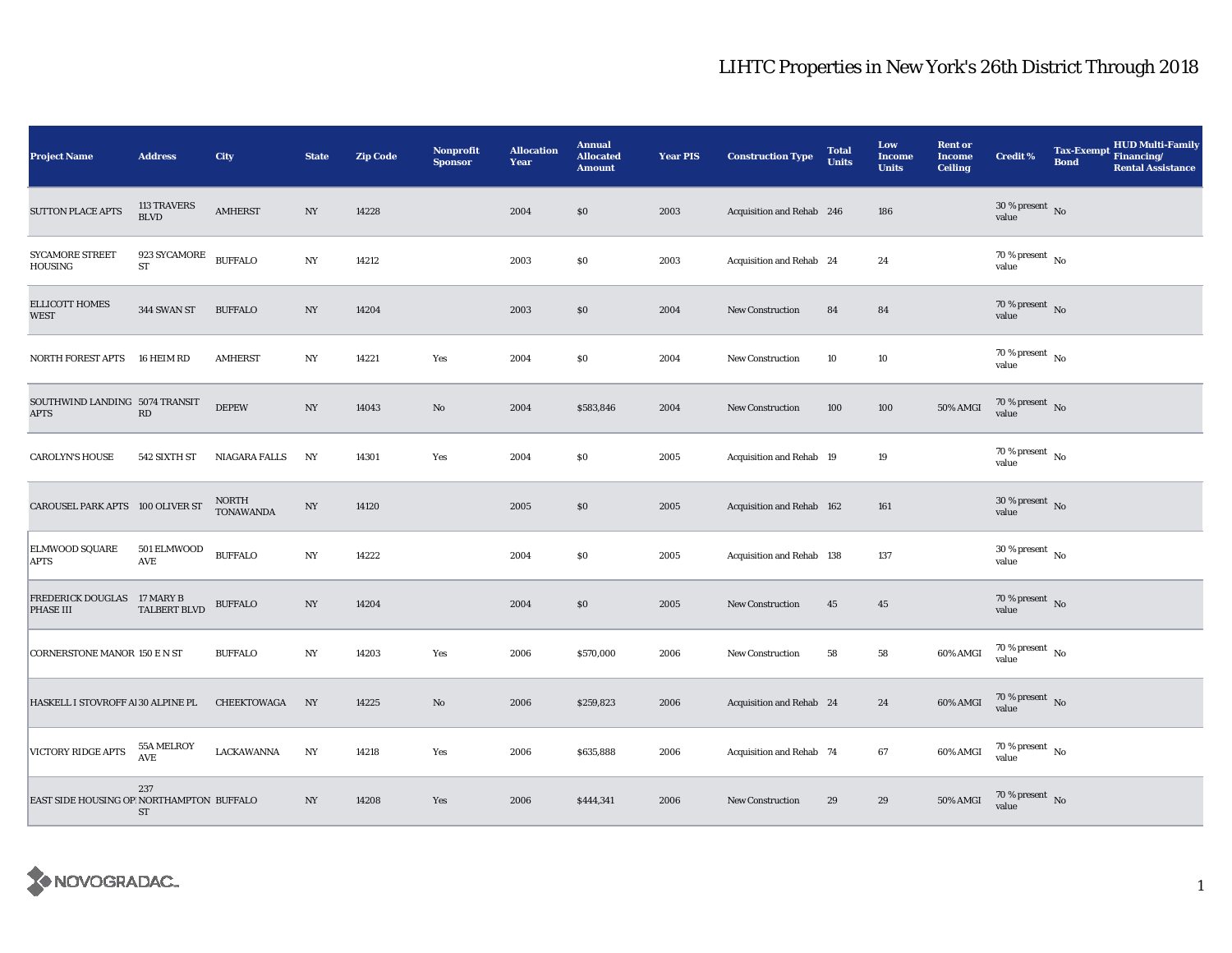| <b>Project Name</b>                           | <b>Address</b>                              | <b>City</b>               | <b>State</b>     | <b>Zip Code</b> | <b>Nonprofit</b><br><b>Sponsor</b> | <b>Allocation</b><br>Year | <b>Annual</b><br><b>Allocated</b><br><b>Amount</b> | <b>Year PIS</b> | <b>Construction Type</b>  | <b>Total</b><br><b>Units</b> | Low<br><b>Income</b><br><b>Units</b> | <b>Rent or</b><br><b>Income</b><br><b>Ceiling</b> | <b>Credit %</b>                          | <b>Tax-Exempt</b><br><b>Bond</b> | <b>HUD Multi-Family</b><br>Financing/<br><b>Rental Assistance</b> |
|-----------------------------------------------|---------------------------------------------|---------------------------|------------------|-----------------|------------------------------------|---------------------------|----------------------------------------------------|-----------------|---------------------------|------------------------------|--------------------------------------|---------------------------------------------------|------------------------------------------|----------------------------------|-------------------------------------------------------------------|
| <b>SUTTON PLACE APTS</b>                      | 113 TRAVERS<br><b>BLVD</b>                  | <b>AMHERST</b>            | NY               | 14228           |                                    | 2004                      | \$0                                                | 2003            | Acquisition and Rehab 246 |                              | 186                                  |                                                   | $30\,\%$ present $\,$ No value           |                                  |                                                                   |
| <b>SYCAMORE STREET</b><br>HOUSING             | 923 SYCAMORE<br>ST                          | <b>BUFFALO</b>            | NY               | 14212           |                                    | 2003                      | \$0                                                | 2003            | Acquisition and Rehab 24  |                              | 24                                   |                                                   | $70\%$ present $\overline{N_0}$<br>value |                                  |                                                                   |
| <b>ELLICOTT HOMES</b><br><b>WEST</b>          | 344 SWAN ST                                 | <b>BUFFALO</b>            | $_{\mathrm{NY}}$ | 14204           |                                    | 2003                      | $\$0$                                              | 2004            | New Construction          | 84                           | 84                                   |                                                   | $70\,\%$ present $\,$ No value           |                                  |                                                                   |
| NORTH FOREST APTS                             | 16 HEIM RD                                  | <b>AMHERST</b>            | N <sub>Y</sub>   | 14221           | Yes                                | 2004                      | \$0                                                | 2004            | New Construction          | 10                           | 10                                   |                                                   | 70 % present $\hbox{~No}$<br>value       |                                  |                                                                   |
| SOUTHWIND LANDING 5074 TRANSIT<br><b>APTS</b> | RD                                          | <b>DEPEW</b>              | NY               | 14043           | $\mathbf{N}\mathbf{o}$             | 2004                      | \$583,846                                          | 2004            | New Construction          | 100                          | 100                                  | 50% AMGI                                          | $70\,\%$ present $\,$ No value           |                                  |                                                                   |
| <b>CAROLYN'S HOUSE</b>                        | 542 SIXTH ST                                | NIAGARA FALLS             | NY               | 14301           | Yes                                | 2004                      | \$0                                                | 2005            | Acquisition and Rehab 19  |                              | 19                                   |                                                   | 70 % present $\,$ No $\,$<br>value       |                                  |                                                                   |
| CAROUSEL PARK APTS 100 OLIVER ST              |                                             | NORTH<br><b>TONAWANDA</b> | $_{\mathrm{NY}}$ | 14120           |                                    | 2005                      | \$0                                                | 2005            | Acquisition and Rehab 162 |                              | 161                                  |                                                   | $30$ % present $\,$ No value             |                                  |                                                                   |
| ELMWOOD SQUARE<br>APTS                        | 501 ELMWOOD<br>AVE                          | <b>BUFFALO</b>            | $_{\mathrm{NY}}$ | 14222           |                                    | 2004                      | \$0                                                | 2005            | Acquisition and Rehab 138 |                              | 137                                  |                                                   | $30\,\%$ present $\,$ No value           |                                  |                                                                   |
| FREDERICK DOUGLAS 17 MARY B<br>PHASE III      | TALBERT BLVD                                | <b>BUFFALO</b>            | NY               | 14204           |                                    | 2004                      | \$0                                                | 2005            | New Construction          | 45                           | 45                                   |                                                   | 70 % present $\bar{N}$ o<br>value        |                                  |                                                                   |
| CORNERSTONE MANOR 150 E N ST                  |                                             | <b>BUFFALO</b>            | $_{\mathrm{NY}}$ | 14203           | Yes                                | 2006                      | \$570,000                                          | 2006            | New Construction          | 58                           | 58                                   | 60% AMGI                                          | $70\,\%$ present $\,$ No $\,$<br>value   |                                  |                                                                   |
| HASKELL I STOVROFF AI 30 ALPINE PL            |                                             | CHEEKTOWAGA               | NY               | 14225           | $\mathbf{N}\mathbf{o}$             | 2006                      | \$259,823                                          | 2006            | Acquisition and Rehab 24  |                              | 24                                   | 60% AMGI                                          | $70$ % present $\,$ No $\,$<br>value     |                                  |                                                                   |
| VICTORY RIDGE APTS                            | 55A MELROY<br>$\operatorname{\mathsf{AVE}}$ | LACKAWANNA                | NY               | 14218           | Yes                                | 2006                      | \$635,888                                          | 2006            | Acquisition and Rehab 74  |                              | 67                                   | 60% AMGI                                          | 70 % present $\hbox{~No}$<br>value       |                                  |                                                                   |
| EAST SIDE HOUSING OP NORTHAMPTON BUFFALO      | 237<br>ST                                   |                           | $_{\mathrm{NY}}$ | 14208           | Yes                                | 2006                      | \$444,341                                          | 2006            | New Construction          | 29                           | 29                                   | 50% AMGI                                          | 70 % present $\,$ No $\,$<br>value       |                                  |                                                                   |

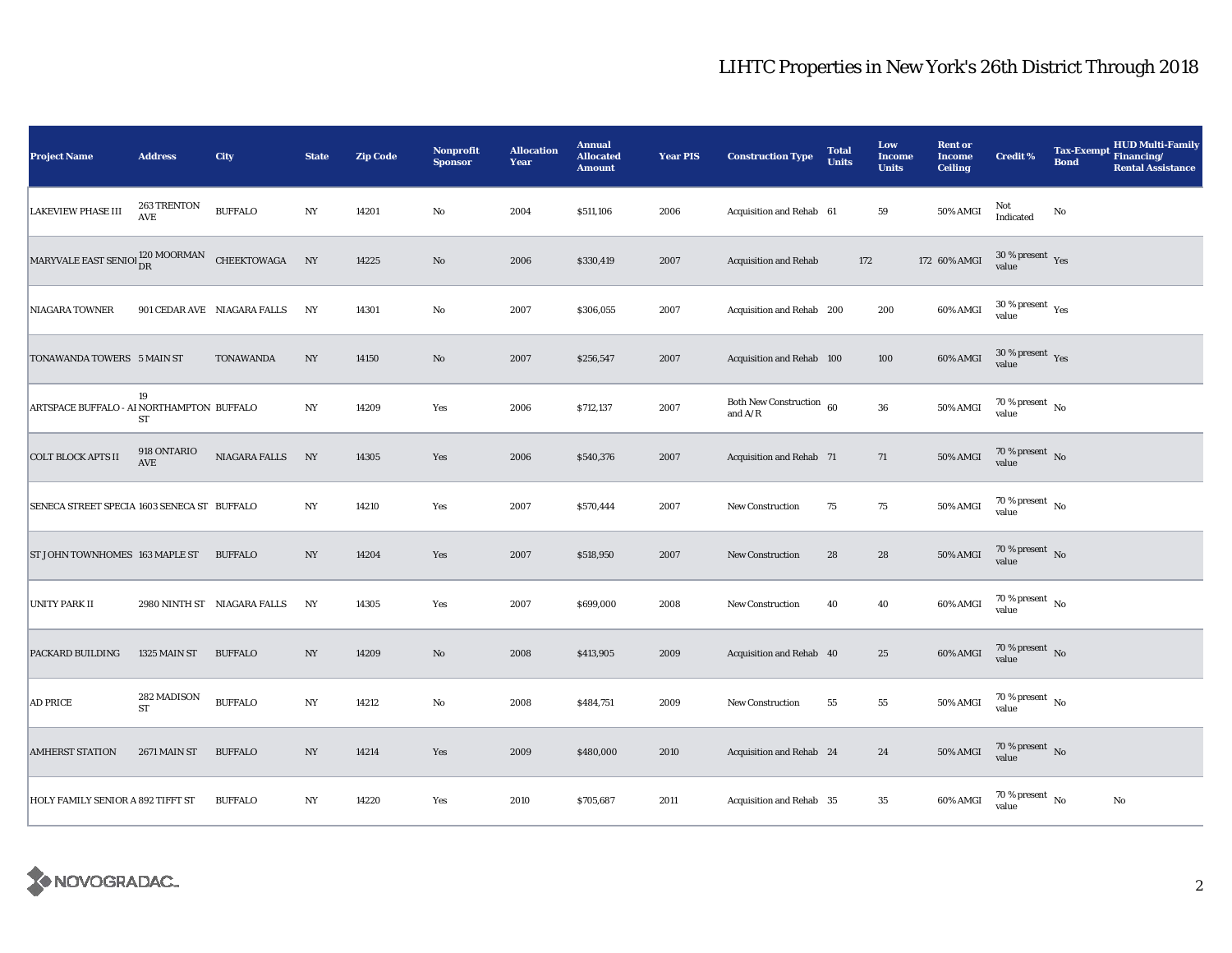| <b>Project Name</b>                                       | <b>Address</b>                      | City                        | <b>State</b>     | <b>Zip Code</b> | <b>Nonprofit</b><br><b>Sponsor</b> | <b>Allocation</b><br>Year | <b>Annual</b><br><b>Allocated</b><br><b>Amount</b> | <b>Year PIS</b> | <b>Construction Type</b>              | <b>Total</b><br><b>Units</b> | Low<br><b>Income</b><br><b>Units</b> | <b>Rent or</b><br><b>Income</b><br><b>Ceiling</b> | <b>Credit %</b>                          | <b>Tax-Exempt</b><br><b>Bond</b> | <b>HUD Multi-Family</b><br>Financing/<br><b>Rental Assistance</b> |
|-----------------------------------------------------------|-------------------------------------|-----------------------------|------------------|-----------------|------------------------------------|---------------------------|----------------------------------------------------|-----------------|---------------------------------------|------------------------------|--------------------------------------|---------------------------------------------------|------------------------------------------|----------------------------------|-------------------------------------------------------------------|
| <b>LAKEVIEW PHASE III</b>                                 | 263 TRENTON<br>$\operatorname{AVE}$ | <b>BUFFALO</b>              | $_{\mathrm{NY}}$ | 14201           | $\rm No$                           | 2004                      | \$511,106                                          | 2006            | Acquisition and Rehab 61              |                              | 59                                   | 50% AMGI                                          | Not<br>Indicated                         | No                               |                                                                   |
| MARYVALE EAST SENIOI $_{\text{DR}}^{120 \text{ MOORMAN}}$ |                                     | CHEEKTOWAGA                 | NY               | 14225           | $\rm No$                           | 2006                      | \$330,419                                          | 2007            | <b>Acquisition and Rehab</b>          | 172                          |                                      | 172 60% AMGI                                      | $30\,\%$ present $\,$ Yes<br>value       |                                  |                                                                   |
| <b>NIAGARA TOWNER</b>                                     |                                     | 901 CEDAR AVE NIAGARA FALLS | NY               | 14301           | $\rm No$                           | 2007                      | \$306,055                                          | 2007            | Acquisition and Rehab 200             |                              | 200                                  | 60% AMGI                                          | $30\,\%$ present $\,$ $\rm Yes$<br>value |                                  |                                                                   |
| TONAWANDA TOWERS 5 MAIN ST                                |                                     | <b>TONAWANDA</b>            | $_{\mathrm{NY}}$ | 14150           | No                                 | 2007                      | \$256,547                                          | 2007            | Acquisition and Rehab 100             |                              | 100                                  | 60% AMGI                                          | $30\,\%$ present $\,$ $\rm Yes$<br>value |                                  |                                                                   |
| ARTSPACE BUFFALO - AI NORTHAMPTON BUFFALO                 | 19<br>ST                            |                             | $_{\mathrm{NY}}$ | 14209           | Yes                                | 2006                      | \$712,137                                          | 2007            | Both New Construction 60<br>and $A/R$ |                              | ${\bf 36}$                           | <b>50% AMGI</b>                                   | 70 % present $\hbox{~No}$<br>value       |                                  |                                                                   |
| <b>COLT BLOCK APTS II</b>                                 | 918 ONTARIO<br>$\operatorname{AVE}$ | NIAGARA FALLS               | NY               | 14305           | Yes                                | 2006                      | \$540,376                                          | 2007            | Acquisition and Rehab 71              |                              | 71                                   | $50\%$ AMGI                                       | $70\,\%$ present $\,$ No value           |                                  |                                                                   |
| SENECA STREET SPECIA 1603 SENECA ST BUFFALO               |                                     |                             | $_{\mathrm{NY}}$ | 14210           | Yes                                | 2007                      | \$570,444                                          | 2007            | <b>New Construction</b>               | 75                           | $75\,$                               | 50% AMGI                                          | $70$ % present $\,$ No $\,$<br>value     |                                  |                                                                   |
| ST JOHN TOWNHOMES 163 MAPLE ST                            |                                     | <b>BUFFALO</b>              | $_{\mathrm{NY}}$ | 14204           | Yes                                | 2007                      | \$518,950                                          | 2007            | <b>New Construction</b>               | 28                           | 28                                   | <b>50% AMGI</b>                                   | $70\,\%$ present $\,$ No value           |                                  |                                                                   |
| <b>UNITY PARK II</b>                                      |                                     | 2980 NINTH ST NIAGARA FALLS | NY               | 14305           | Yes                                | 2007                      | \$699,000                                          | 2008            | <b>New Construction</b>               | 40                           | 40                                   | 60% AMGI                                          | $70$ % present $\,$ No $\,$<br>value     |                                  |                                                                   |
| PACKARD BUILDING                                          | 1325 MAIN ST                        | <b>BUFFALO</b>              | NY               | 14209           | $\rm No$                           | 2008                      | \$413,905                                          | 2009            | Acquisition and Rehab 40              |                              | $\bf 25$                             | 60% AMGI                                          | $70$ % present $\,$ No $\,$<br>value     |                                  |                                                                   |
| <b>AD PRICE</b>                                           | 282 MADISON<br><b>ST</b>            | <b>BUFFALO</b>              | NY               | 14212           | $\rm No$                           | 2008                      | \$484,751                                          | 2009            | <b>New Construction</b>               | 55                           | 55                                   | <b>50% AMGI</b>                                   | 70 % present $\hbox{~No}$<br>value       |                                  |                                                                   |
| <b>AMHERST STATION</b>                                    | 2671 MAIN ST                        | <b>BUFFALO</b>              | $_{\mathrm{NY}}$ | 14214           | Yes                                | 2009                      | \$480,000                                          | 2010            | Acquisition and Rehab 24              |                              | 24                                   | 50% AMGI                                          | $70\,\%$ present $\,$ No value           |                                  |                                                                   |
| HOLY FAMILY SENIOR A 892 TIFFT ST                         |                                     | <b>BUFFALO</b>              | $_{\mathrm{NY}}$ | 14220           | Yes                                | 2010                      | \$705,687                                          | 2011            | Acquisition and Rehab 35              |                              | 35                                   | 60% AMGI                                          | 70 % present $\hbox{~No}$<br>value       |                                  | No                                                                |

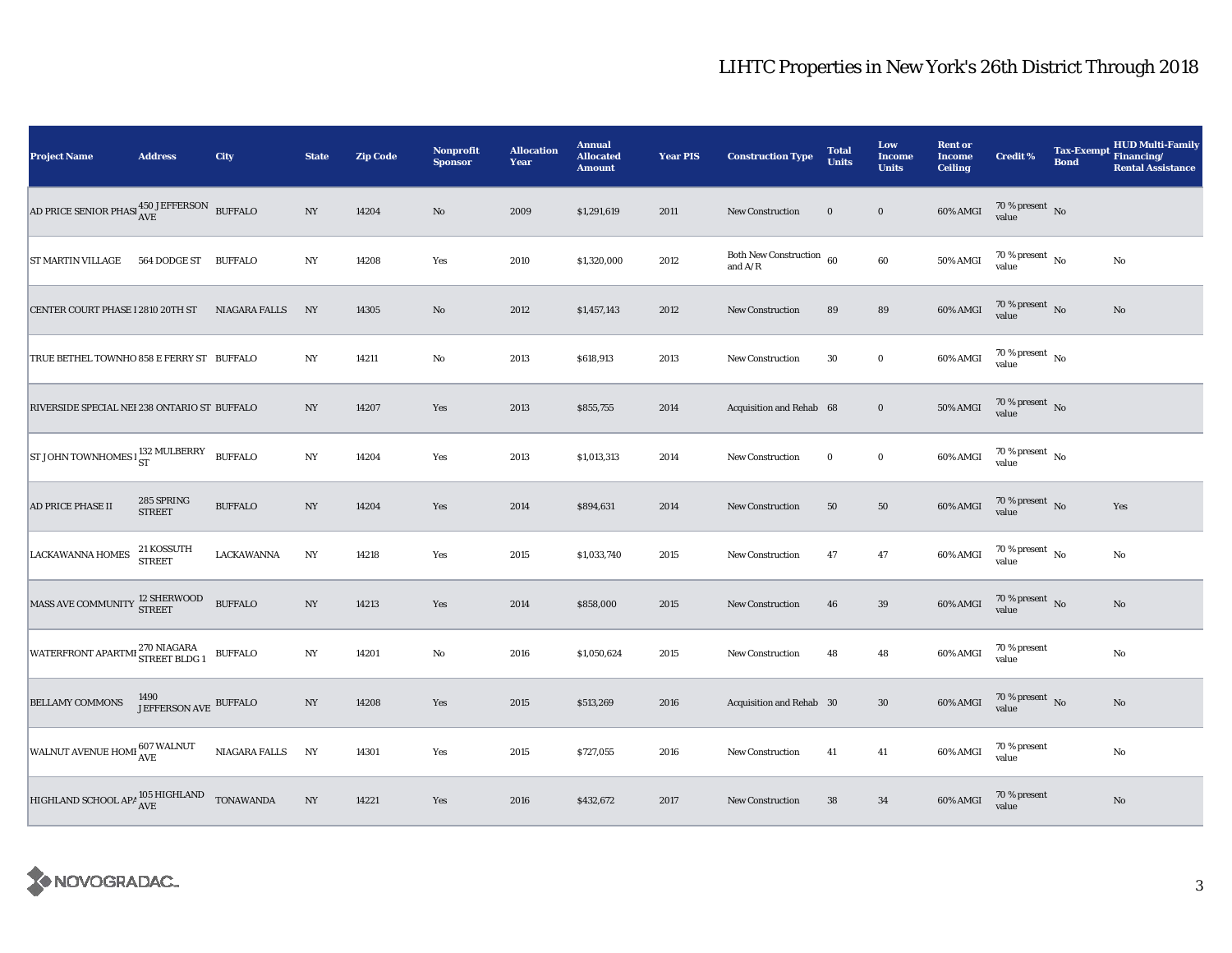| <b>Project Name</b>                                              | <b>Address</b>                | City                 | <b>State</b>     | <b>Zip Code</b> | Nonprofit<br><b>Sponsor</b> | <b>Allocation</b><br>Year | <b>Annual</b><br><b>Allocated</b><br><b>Amount</b> | <b>Year PIS</b> | <b>Construction Type</b>                | <b>Total</b><br><b>Units</b> | Low<br><b>Income</b><br><b>Units</b> | <b>Rent or</b><br><b>Income</b><br><b>Ceiling</b> | <b>Credit %</b>                      | <b>Tax-Exempt</b><br><b>Bond</b> | <b>HUD Multi-Family</b><br>Financing/<br><b>Rental Assistance</b> |
|------------------------------------------------------------------|-------------------------------|----------------------|------------------|-----------------|-----------------------------|---------------------------|----------------------------------------------------|-----------------|-----------------------------------------|------------------------------|--------------------------------------|---------------------------------------------------|--------------------------------------|----------------------------------|-------------------------------------------------------------------|
| AD PRICE SENIOR PHASI $_{\rm AVE}^{450 \rm \ JEFFERSON}$ BUFFALO |                               |                      | $_{\mathrm{NY}}$ | 14204           | $\mathbf{N}\mathbf{o}$      | 2009                      | \$1,291,619                                        | 2011            | New Construction                        | $\bf{0}$                     | $\boldsymbol{0}$                     | 60% AMGI                                          | $70\,\%$ present $\,$ No value       |                                  |                                                                   |
| ST MARTIN VILLAGE                                                | 564 DODGE ST                  | <b>BUFFALO</b>       | NY               | 14208           | Yes                         | 2010                      | \$1,320,000                                        | 2012            | Both New Construction $60$<br>and $A/R$ |                              | 60                                   | 50% AMGI                                          | $70$ % present $\,$ No $\,$<br>value |                                  | No                                                                |
| CENTER COURT PHASE I 2810 20TH ST                                |                               | <b>NIAGARA FALLS</b> | NY               | 14305           | $\mathbf{N}\mathbf{o}$      | 2012                      | \$1,457,143                                        | 2012            | <b>New Construction</b>                 | 89                           | 89                                   | 60% AMGI                                          | $70\,\%$ present $\,$ No value       |                                  | $\mathbf{N}\mathbf{o}$                                            |
| TRUE BETHEL TOWNHO 858 E FERRY ST BUFFALO                        |                               |                      | NY               | 14211           | No                          | 2013                      | \$618,913                                          | 2013            | <b>New Construction</b>                 | 30                           | $\bf{0}$                             | 60% AMGI                                          | $70$ % present $\,$ No $\,$<br>value |                                  |                                                                   |
| RIVERSIDE SPECIAL NEI 238 ONTARIO ST BUFFALO                     |                               |                      | NY.              | 14207           | Yes                         | 2013                      | \$855,755                                          | 2014            | Acquisition and Rehab 68                |                              | $\bf{0}$                             | <b>50% AMGI</b>                                   | $70\,\%$ present $${\rm No}$$ value  |                                  |                                                                   |
| ST JOHN TOWNHOMES $1\frac{132}{ST}$ MULBERRY                     |                               | <b>BUFFALO</b>       | $_{\mathrm{NY}}$ | 14204           | Yes                         | 2013                      | \$1,013,313                                        | 2014            | New Construction                        | $\bf{0}$                     | $\bf{0}$                             | 60% AMGI                                          | $70$ % present $\,$ No $\,$<br>value |                                  |                                                                   |
| AD PRICE PHASE II                                                | 285 SPRING<br><b>STREET</b>   | <b>BUFFALO</b>       | NY               | 14204           | Yes                         | 2014                      | \$894,631                                          | 2014            | <b>New Construction</b>                 | 50                           | 50                                   | 60% AMGI                                          | $70\,\%$ present $${\rm No}$$ value  |                                  | Yes                                                               |
| <b>LACKAWANNA HOMES</b>                                          | 21 KOSSUTH<br><b>STREET</b>   | LACKAWANNA           | $_{\mathrm{NY}}$ | 14218           | Yes                         | 2015                      | \$1,033,740                                        | 2015            | New Construction                        | 47                           | 47                                   | 60% AMGI                                          | 70 % present $\,$ No $\,$<br>value   |                                  | No                                                                |
| MASS AVE COMMUNITY <sup>12</sup> SHERWOOD                        |                               | <b>BUFFALO</b>       | $_{\mathrm{NY}}$ | 14213           | Yes                         | 2014                      | \$858,000                                          | 2015            | New Construction                        | 46                           | 39                                   | 60% AMGI                                          | $70\,\%$ present $\,$ No value       |                                  | $\mathbf{N}\mathbf{o}$                                            |
| WATERFRONT APARTMI 270 NIAGARA                                   |                               | <b>BUFFALO</b>       | $_{\mathrm{NY}}$ | 14201           | No                          | 2016                      | \$1,050,624                                        | 2015            | <b>New Construction</b>                 | 48                           | 48                                   | 60% AMGI                                          | 70 % present<br>value                |                                  | $\rm No$                                                          |
| <b>BELLAMY COMMONS</b>                                           | 1490<br>JEFFERSON AVE BUFFALO |                      | $_{\mathrm{NY}}$ | 14208           | Yes                         | 2015                      | \$513,269                                          | 2016            | Acquisition and Rehab 30                |                              | $30\,$                               | 60% AMGI                                          | $70\,\%$ present $_{\rm{No}}$        |                                  | No                                                                |
| WALNUT AVENUE HOMI 607 WALNUT                                    |                               | NIAGARA FALLS        | NY               | 14301           | Yes                         | 2015                      | \$727,055                                          | 2016            | <b>New Construction</b>                 | 41                           | 41                                   | 60% AMGI                                          | 70 % present<br>value                |                                  | No                                                                |
| HIGHLAND SCHOOL APA $^{105\,\rm HIGHLAND}_{\rm AVE}$ TONAWANDA   |                               |                      | NY               | 14221           | Yes                         | 2016                      | \$432,672                                          | 2017            | New Construction                        | 38                           | 34                                   | 60% AMGI                                          | 70 % present<br>value                |                                  | $\mathbf{N}\mathbf{o}$                                            |

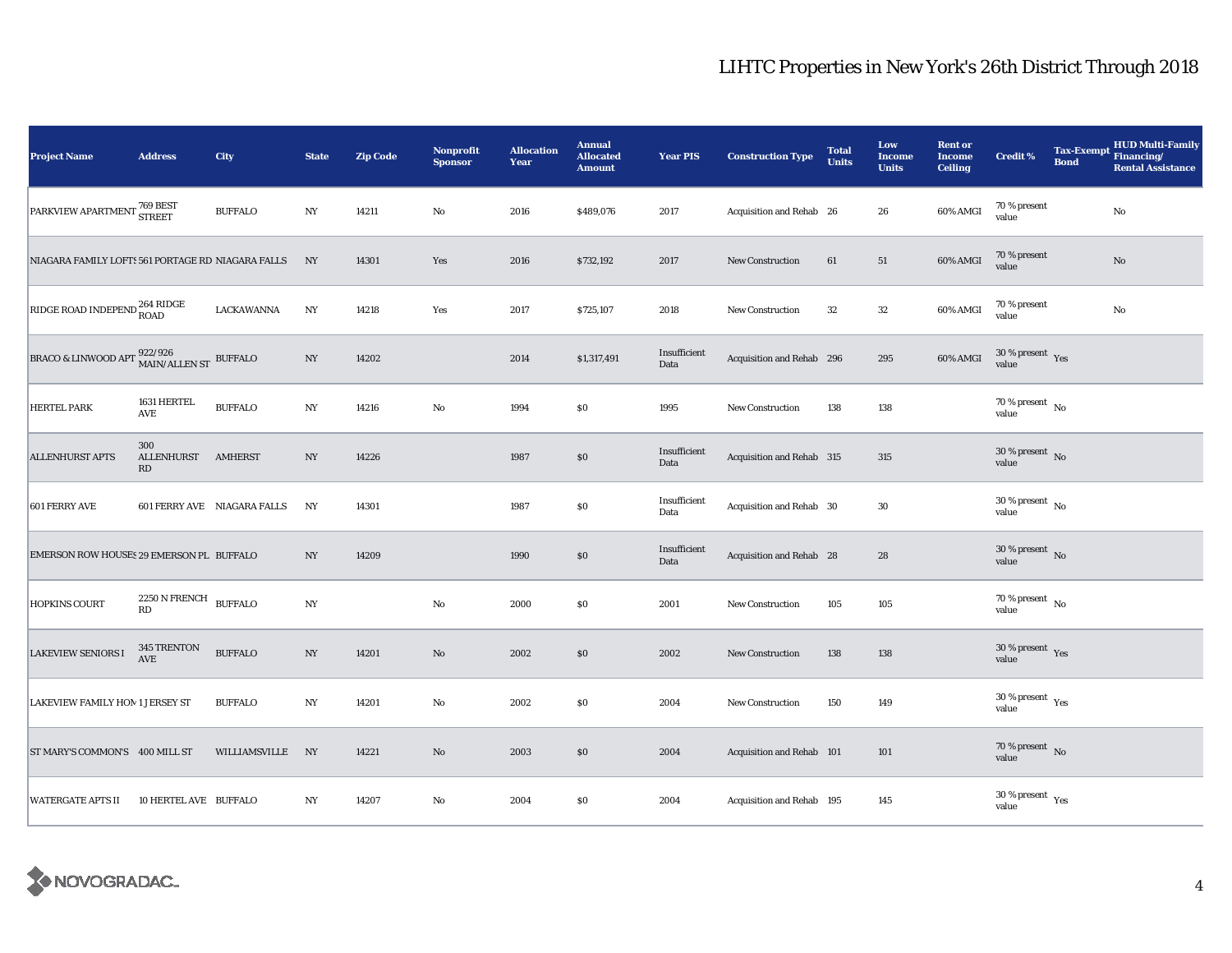| <b>Project Name</b>                                           | <b>Address</b>                          | City                        | <b>State</b>     | <b>Zip Code</b> | <b>Nonprofit</b><br><b>Sponsor</b> | <b>Allocation</b><br>Year | <b>Annual</b><br><b>Allocated</b><br><b>Amount</b> | <b>Year PIS</b>      | <b>Construction Type</b>  | <b>Total</b><br><b>Units</b> | Low<br><b>Income</b><br><b>Units</b> | <b>Rent or</b><br><b>Income</b><br><b>Ceiling</b> | <b>Credit %</b>                          | <b>Bond</b> | <b>HUD Multi-Family</b><br>Tax-Exempt Financing/<br><b>Rental Assistance</b> |
|---------------------------------------------------------------|-----------------------------------------|-----------------------------|------------------|-----------------|------------------------------------|---------------------------|----------------------------------------------------|----------------------|---------------------------|------------------------------|--------------------------------------|---------------------------------------------------|------------------------------------------|-------------|------------------------------------------------------------------------------|
| PARKVIEW APARTMENT <sup>769 BEST</sup><br>STREET              |                                         | <b>BUFFALO</b>              | $_{\mathrm{NY}}$ | 14211           | No                                 | 2016                      | \$489,076                                          | 2017                 | Acquisition and Rehab 26  |                              | 26                                   | 60% AMGI                                          | 70 % present<br>value                    |             | No                                                                           |
| NIAGARA FAMILY LOFTS 561 PORTAGE RD NIAGARA FALLS             |                                         |                             | NY               | 14301           | Yes                                | 2016                      | \$732,192                                          | 2017                 | <b>New Construction</b>   | 61                           | 51                                   | 60% AMGI                                          | 70 % present<br>value                    |             | $\rm No$                                                                     |
| RIDGE ROAD INDEPEND <sup>264</sup> RIDGE                      |                                         | LACKAWANNA                  | NY               | 14218           | Yes                                | 2017                      | \$725,107                                          | 2018                 | New Construction          | 32                           | $32\,$                               | 60% AMGI                                          | 70 % present<br>value                    |             | No                                                                           |
| BRACO & LINWOOD APT $^{922/926}_{\rm MAIN/ALLEN\ ST}$ BUFFALO |                                         |                             | NY               | 14202           |                                    | 2014                      | \$1,317,491                                        | Insufficient<br>Data | Acquisition and Rehab 296 |                              | 295                                  | 60% AMGI                                          | $30\,\%$ present $\,$ $\rm Yes$<br>value |             |                                                                              |
| <b>HERTEL PARK</b>                                            | 1631 HERTEL<br>AVE                      | <b>BUFFALO</b>              | N <sub>Y</sub>   | 14216           | $\mathbf{No}$                      | 1994                      | \$0                                                | 1995                 | <b>New Construction</b>   | 138                          | 138                                  |                                                   | 70 % present $\hbox{~No}$<br>value       |             |                                                                              |
| <b>ALLENHURST APTS</b>                                        | 300<br><b>ALLENHURST</b><br>RD          | <b>AMHERST</b>              | $_{\mathrm{NY}}$ | 14226           |                                    | 1987                      | $\$0$                                              | Insufficient<br>Data | Acquisition and Rehab 315 |                              | 315                                  |                                                   | 30 % present $\overline{N_0}$<br>value   |             |                                                                              |
| <b>601 FERRY AVE</b>                                          |                                         | 601 FERRY AVE NIAGARA FALLS | NY               | 14301           |                                    | 1987                      | $\$0$                                              | Insufficient<br>Data | Acquisition and Rehab 30  |                              | 30                                   |                                                   | $30$ % present $\,$ No $\,$<br>value     |             |                                                                              |
| EMERSON ROW HOUSES 29 EMERSON PL BUFFALO                      |                                         |                             | NY               | 14209           |                                    | 1990                      | \$0                                                | Insufficient<br>Data | Acquisition and Rehab 28  |                              | 28                                   |                                                   | $30\,\%$ present $\,$ No value           |             |                                                                              |
| <b>HOPKINS COURT</b>                                          | $2250$ N FRENCH $\,$ BUFFALO $\,$<br>RD |                             | N <sub>Y</sub>   |                 | No                                 | 2000                      | \$0                                                | 2001                 | <b>New Construction</b>   | 105                          | 105                                  |                                                   | 70 % present $\hbox{~No}$<br>value       |             |                                                                              |
| <b>LAKEVIEW SENIORS I</b>                                     | 345 TRENTON<br>AVE                      | <b>BUFFALO</b>              | NY               | 14201           | $\mathbf{N}\mathbf{o}$             | 2002                      | \$0                                                | 2002                 | <b>New Construction</b>   | 138                          | 138                                  |                                                   | $30\,\%$ present $\,$ Yes value          |             |                                                                              |
| LAKEVIEW FAMILY HOM 1 JERSEY ST                               |                                         | <b>BUFFALO</b>              | $_{\mathrm{NY}}$ | 14201           | No                                 | 2002                      | $\$0$                                              | 2004                 | <b>New Construction</b>   | 150                          | 149                                  |                                                   | $30\,\%$ present $\,$ Yes value          |             |                                                                              |
| ST MARY'S COMMON'S 400 MILL ST                                |                                         | WILLIAMSVILLE NY            |                  | 14221           | $\mathbf{N}\mathbf{o}$             | 2003                      | \$0                                                | 2004                 | Acquisition and Rehab 101 |                              | 101                                  |                                                   | $70$ % present $$\rm{No}$$ value         |             |                                                                              |
| <b>WATERGATE APTS II</b>                                      | 10 HERTEL AVE BUFFALO                   |                             | NY               | 14207           | No                                 | 2004                      | \$0                                                | 2004                 | Acquisition and Rehab 195 |                              | 145                                  |                                                   | $30$ % present $\,$ $\rm Yes$<br>value   |             |                                                                              |

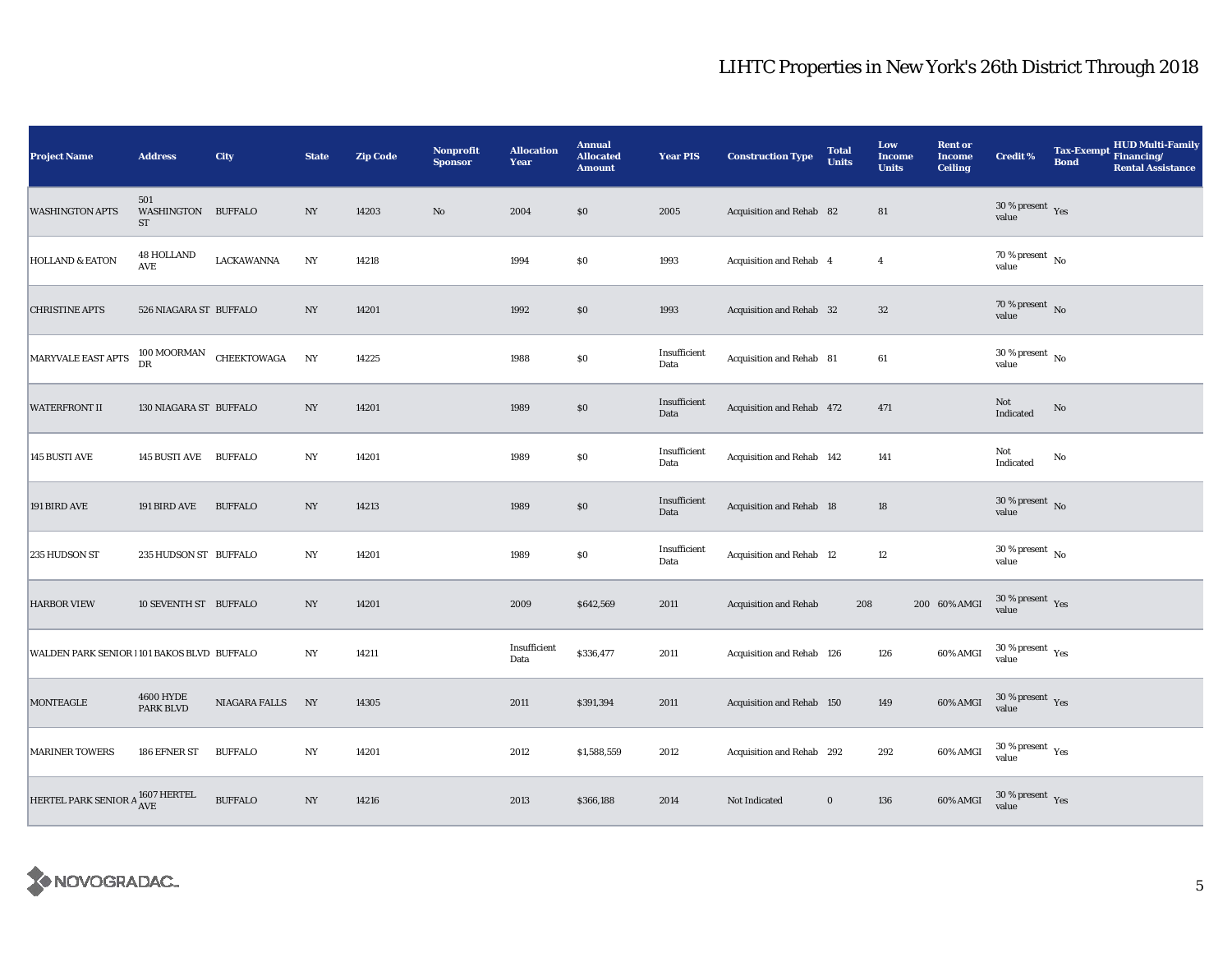| <b>Project Name</b>                        | <b>Address</b>                         | City                              | <b>State</b>     | <b>Zip Code</b> | Nonprofit<br><b>Sponsor</b> | <b>Allocation</b><br>Year | <b>Annual</b><br><b>Allocated</b><br><b>Amount</b> | <b>Year PIS</b>      | <b>Construction Type</b>        | <b>Total</b><br><b>Units</b> | Low<br><b>Income</b><br><b>Units</b> | <b>Rent or</b><br><b>Income</b><br><b>Ceiling</b> | <b>Credit %</b>                      | <b>Tax-Exempt</b><br><b>Bond</b> | <b>HUD Multi-Family</b><br>Financing/<br><b>Rental Assistance</b> |
|--------------------------------------------|----------------------------------------|-----------------------------------|------------------|-----------------|-----------------------------|---------------------------|----------------------------------------------------|----------------------|---------------------------------|------------------------------|--------------------------------------|---------------------------------------------------|--------------------------------------|----------------------------------|-------------------------------------------------------------------|
| <b>WASHINGTON APTS</b>                     | 501<br>WASHINGTON BUFFALO<br><b>ST</b> |                                   | $_{\mathrm{NY}}$ | 14203           | $\rm No$                    | 2004                      | \$0                                                | 2005                 | Acquisition and Rehab 82        |                              | ${\bf 81}$                           |                                                   | $30\,\%$ present $\,$ Yes value      |                                  |                                                                   |
| <b>HOLLAND &amp; EATON</b>                 | <b>48 HOLLAND</b><br>AVE               | LACKAWANNA                        | NY               | 14218           |                             | 1994                      | $\$0$                                              | 1993                 | Acquisition and Rehab 4         |                              | $\overline{4}$                       |                                                   | $70$ % present $\,$ No $\,$<br>value |                                  |                                                                   |
| <b>CHRISTINE APTS</b>                      | 526 NIAGARA ST BUFFALO                 |                                   | $_{\mathrm{NY}}$ | 14201           |                             | 1992                      | \$0                                                | 1993                 | Acquisition and Rehab 32        |                              | $32\,$                               |                                                   | $70\,\%$ present $\,$ No value       |                                  |                                                                   |
| MARYVALE EAST APTS                         | <b>DR</b>                              | $100\,\mbox{MOORMAN}$ CHEEKTOWAGA | N <sub>Y</sub>   | 14225           |                             | 1988                      | \$0\$                                              | Insufficient<br>Data | Acquisition and Rehab 81        |                              | 61                                   |                                                   | $30$ % present $\,$ No $\,$<br>value |                                  |                                                                   |
| <b>WATERFRONT II</b>                       | 130 NIAGARA ST BUFFALO                 |                                   | $_{\mathrm{NY}}$ | 14201           |                             | 1989                      | $\$0$                                              | Insufficient<br>Data | Acquisition and Rehab 472       |                              | 471                                  |                                                   | Not<br>Indicated                     | $\mathbf{No}$                    |                                                                   |
| 145 BUSTI AVE                              | 145 BUSTI AVE BUFFALO                  |                                   | NY               | 14201           |                             | 1989                      | $\$0$                                              | Insufficient<br>Data | Acquisition and Rehab 142       |                              | 141                                  |                                                   | Not<br>Indicated                     | $\mathbf{No}$                    |                                                                   |
| 191 BIRD AVE                               | 191 BIRD AVE                           | <b>BUFFALO</b>                    | NY               | 14213           |                             | 1989                      | $\$0$                                              | Insufficient<br>Data | Acquisition and Rehab 18        |                              | 18                                   |                                                   | $30\,\%$ present $\,$ No value       |                                  |                                                                   |
| 235 HUDSON ST                              | 235 HUDSON ST BUFFALO                  |                                   | NY               | 14201           |                             | 1989                      | $\$0$                                              | Insufficient<br>Data | <b>Acquisition and Rehab 12</b> |                              | $12\,$                               |                                                   | $30\,\%$ present $\,$ No value       |                                  |                                                                   |
| <b>HARBOR VIEW</b>                         | 10 SEVENTH ST BUFFALO                  |                                   | NY               | 14201           |                             | 2009                      | \$642,569                                          | 2011                 | <b>Acquisition and Rehab</b>    | 208                          |                                      | 200 60% AMGI                                      | $30\,\%$ present $\,$ Yes<br>value   |                                  |                                                                   |
| WALDEN PARK SENIOR 1101 BAKOS BLVD BUFFALO |                                        |                                   | NY               | 14211           |                             | Insufficient<br>Data      | \$336,477                                          | 2011                 | Acquisition and Rehab 126       |                              | 126                                  | 60% AMGI                                          | $30\,\%$ present $\,$ Yes value      |                                  |                                                                   |
| <b>MONTEAGLE</b>                           | <b>4600 HYDE</b><br>PARK BLVD          | NIAGARA FALLS                     | NY               | 14305           |                             | 2011                      | \$391,394                                          | 2011                 | Acquisition and Rehab 150       |                              | 149                                  | 60% AMGI                                          | $30\,\%$ present $\,$ Yes<br>value   |                                  |                                                                   |
| <b>MARINER TOWERS</b>                      | 186 EFNER ST                           | <b>BUFFALO</b>                    | $_{\mathrm{NY}}$ | 14201           |                             | 2012                      | \$1,588,559                                        | 2012                 | Acquisition and Rehab 292       |                              | 292                                  | 60% AMGI                                          | $30\,\%$ present $\,$ Yes value      |                                  |                                                                   |
| HERTEL PARK SENIOR A 1607 HERTEL           |                                        | <b>BUFFALO</b>                    | $_{\mathrm{NY}}$ | 14216           |                             | 2013                      | \$366,188                                          | 2014                 | Not Indicated                   | $\bf{0}$                     | 136                                  | 60% AMGI                                          | $30\,\%$ present $\,$ Yes value      |                                  |                                                                   |

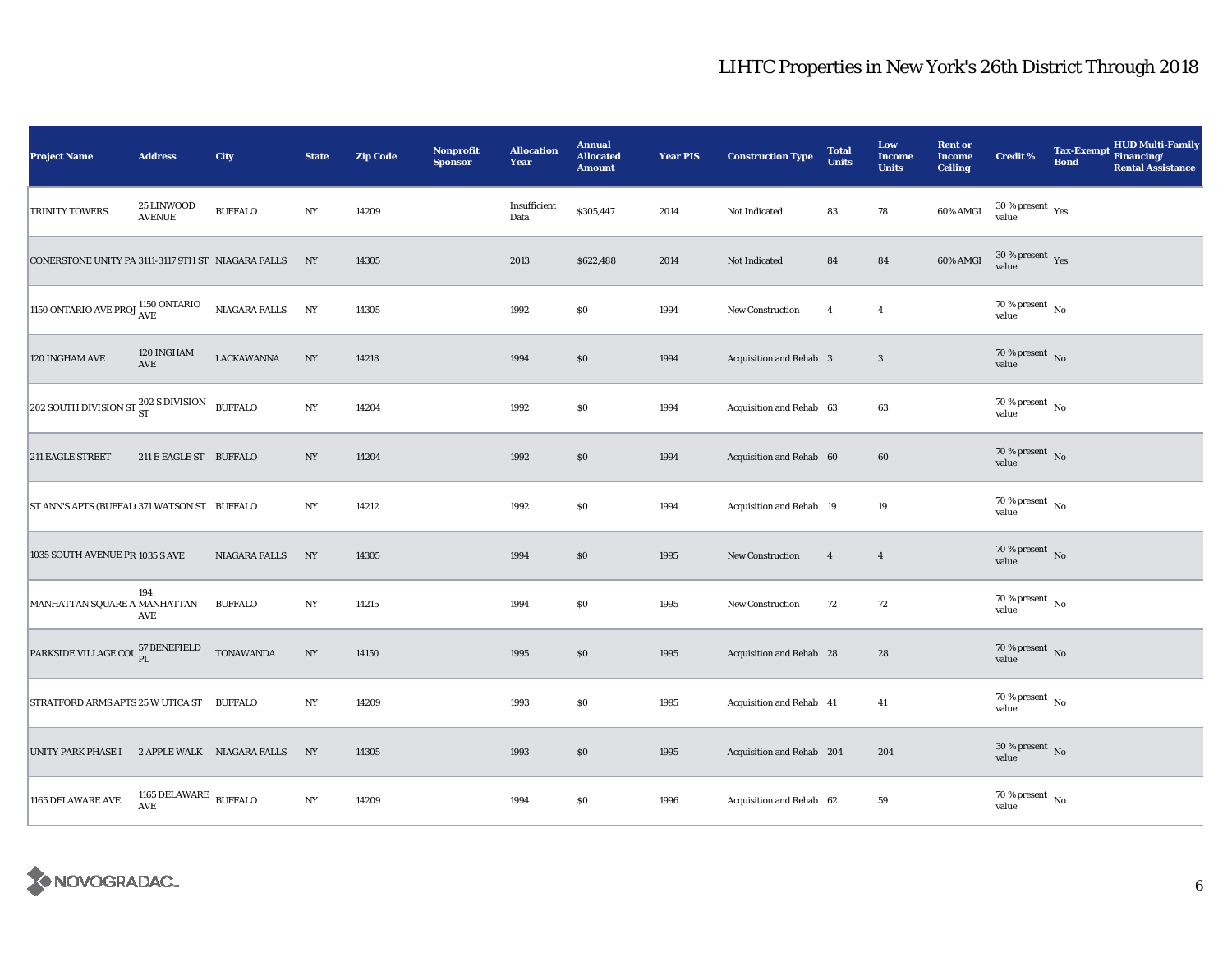| <b>Project Name</b>                                | <b>Address</b>                                                   | City             | <b>State</b>             | <b>Zip Code</b> | <b>Nonprofit</b><br><b>Sponsor</b> | <b>Allocation</b><br>Year | <b>Annual</b><br><b>Allocated</b><br><b>Amount</b> | <b>Year PIS</b> | <b>Construction Type</b>  | <b>Total</b><br><b>Units</b> | Low<br><b>Income</b><br><b>Units</b> | <b>Rent or</b><br><b>Income</b><br><b>Ceiling</b> | <b>Credit %</b>                      | <b>Bond</b> | Tax-Exempt HUD Multi-Family<br><b>Rental Assistance</b> |
|----------------------------------------------------|------------------------------------------------------------------|------------------|--------------------------|-----------------|------------------------------------|---------------------------|----------------------------------------------------|-----------------|---------------------------|------------------------------|--------------------------------------|---------------------------------------------------|--------------------------------------|-------------|---------------------------------------------------------|
| TRINITY TOWERS                                     | 25 LINWOOD<br><b>AVENUE</b>                                      | <b>BUFFALO</b>   | $_{\mathrm{NY}}$         | 14209           |                                    | Insufficient<br>Data      | \$305,447                                          | 2014            | Not Indicated             | 83                           | ${\bf 78}$                           | 60% AMGI                                          | $30\,\%$ present $\,$ Yes value      |             |                                                         |
| CONERSTONE UNITY PA 3111-3117 9TH ST NIAGARA FALLS |                                                                  |                  | NY                       | 14305           |                                    | 2013                      | \$622,488                                          | 2014            | Not Indicated             | 84                           | 84                                   | 60% AMGI                                          | $30\,\%$ present $\,$ Yes value      |             |                                                         |
| 1150 ONTARIO AVE PROJ $^{1150}_{\rm{AVE}}$         |                                                                  | NIAGARA FALLS    | NY                       | 14305           |                                    | 1992                      | \$0                                                | 1994            | New Construction          | $\overline{4}$               | $\overline{4}$                       |                                                   | 70 % present $\hbox{~No}$<br>value   |             |                                                         |
| 120 INGHAM AVE                                     | 120 INGHAM<br>$\operatorname{AVE}$                               | LACKAWANNA       | $_{\mathrm{NY}}$         | 14218           |                                    | 1994                      | \$0                                                | 1994            | Acquisition and Rehab 3   |                              | $\mathbf{3}$                         |                                                   | $70\,\%$ present $\,$ No value       |             |                                                         |
| 202 SOUTH DIVISION ST $_{\rm ST}^{202}$ S DIVISION |                                                                  | <b>BUFFALO</b>   | NY                       | 14204           |                                    | 1992                      | \$0                                                | 1994            | Acquisition and Rehab 63  |                              | 63                                   |                                                   | $70\,\%$ present $\,$ No value       |             |                                                         |
| 211 EAGLE STREET                                   | 211 E EAGLE ST BUFFALO                                           |                  | $\ensuremath{\text{NY}}$ | 14204           |                                    | 1992                      | \$0                                                | 1994            | Acquisition and Rehab 60  |                              | $60\,$                               |                                                   | $70\,\%$ present $\,$ No value       |             |                                                         |
| ST ANN'S APTS (BUFFALI 371 WATSON ST BUFFALO       |                                                                  |                  | NY                       | 14212           |                                    | 1992                      | $\$0$                                              | 1994            | Acquisition and Rehab 19  |                              | $19\,$                               |                                                   | $70\,\%$ present $\,$ No value       |             |                                                         |
| 1035 SOUTH AVENUE PR 1035 S AVE                    |                                                                  | NIAGARA FALLS    | NY                       | 14305           |                                    | 1994                      | \$0                                                | 1995            | <b>New Construction</b>   | $\overline{4}$               | $\overline{4}$                       |                                                   | $70\,\%$ present $\,$ No value       |             |                                                         |
| MANHATTAN SQUARE A MANHATTAN                       | 194<br>AVE                                                       | <b>BUFFALO</b>   | $_{\mathrm{NY}}$         | 14215           |                                    | 1994                      | \$0                                                | 1995            | New Construction          | 72                           | 72                                   |                                                   | $70$ % present $\,$ No $\,$<br>value |             |                                                         |
| PARKSIDE VILLAGE COU <sup>57</sup> BENEFIELD       |                                                                  | <b>TONAWANDA</b> | $_{\mathrm{NY}}$         | 14150           |                                    | 1995                      | \$0                                                | 1995            | Acquisition and Rehab 28  |                              | 28                                   |                                                   | 70 % present $\hbox{~No}$<br>value   |             |                                                         |
| STRATFORD ARMS APTS 25 W UTICA ST BUFFALO          |                                                                  |                  | NY                       | 14209           |                                    | 1993                      | \$0                                                | 1995            | Acquisition and Rehab 41  |                              | 41                                   |                                                   | 70 % present $\hbox{~No}$<br>value   |             |                                                         |
| UNITY PARK PHASE I 2 APPLE WALK NIAGARA FALLS      |                                                                  |                  | NY                       | 14305           |                                    | 1993                      | \$0                                                | 1995            | Acquisition and Rehab 204 |                              | 204                                  |                                                   | $30\,\%$ present $\,$ No value       |             |                                                         |
| 1165 DELAWARE AVE                                  | 1165 DELAWARE $\,$ BUFFALO $\,$<br>$\operatorname{\mathbf{AVE}}$ |                  | $_{\mathrm{NY}}$         | 14209           |                                    | 1994                      | \$0                                                | 1996            | Acquisition and Rehab 62  |                              | 59                                   |                                                   | $70$ % present $\,$ No $\,$<br>value |             |                                                         |

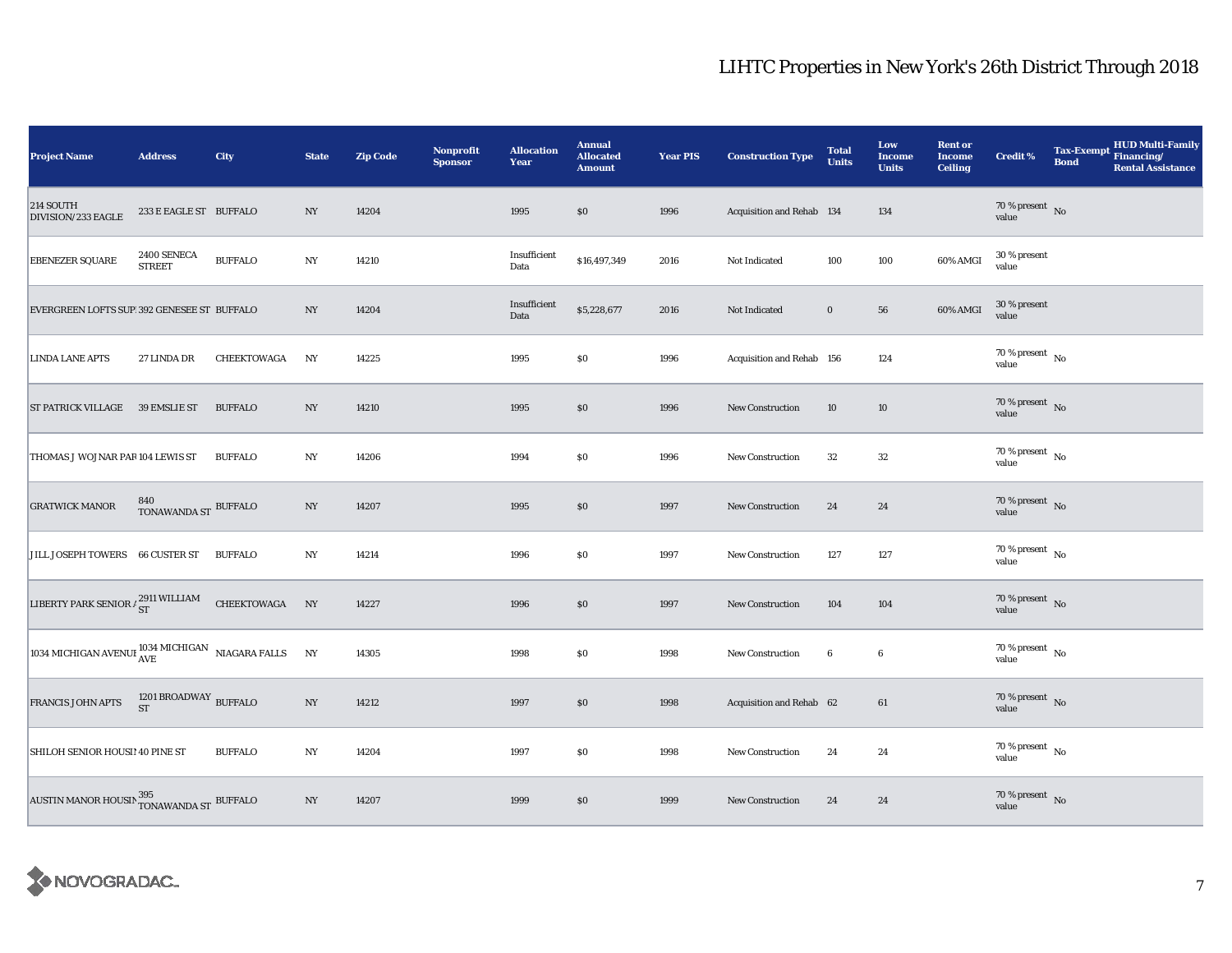| <b>Project Name</b>                                                                   | <b>Address</b>                       | City           | <b>State</b>     | <b>Zip Code</b> | <b>Nonprofit</b><br><b>Sponsor</b> | <b>Allocation</b><br>Year | <b>Annual</b><br><b>Allocated</b><br><b>Amount</b> | <b>Year PIS</b> | <b>Construction Type</b>  | <b>Total</b><br><b>Units</b> | Low<br><b>Income</b><br><b>Units</b> | <b>Rent or</b><br><b>Income</b><br><b>Ceiling</b> | <b>Credit %</b>                     | <b>HUD Multi-Family</b><br>Tax-Exempt Financing/<br><b>Bond</b><br><b>Rental Assistance</b> |
|---------------------------------------------------------------------------------------|--------------------------------------|----------------|------------------|-----------------|------------------------------------|---------------------------|----------------------------------------------------|-----------------|---------------------------|------------------------------|--------------------------------------|---------------------------------------------------|-------------------------------------|---------------------------------------------------------------------------------------------|
| 214 SOUTH<br>DIVISION/233 EAGLE                                                       | 233 E EAGLE ST BUFFALO               |                | NY               | 14204           |                                    | 1995                      | \$0                                                | 1996            | Acquisition and Rehab 134 |                              | 134                                  |                                                   | $70\,\%$ present $${\rm No}$$ value |                                                                                             |
| <b>EBENEZER SQUARE</b>                                                                | 2400 SENECA<br><b>STREET</b>         | <b>BUFFALO</b> | NY               | 14210           |                                    | Insufficient<br>Data      | \$16,497,349                                       | 2016            | Not Indicated             | 100                          | 100                                  | 60% AMGI                                          | 30 % present<br>value               |                                                                                             |
| EVERGREEN LOFTS SUP 392 GENESEE ST BUFFALO                                            |                                      |                | NY               | 14204           |                                    | Insufficient<br>Data      | \$5,228,677                                        | 2016            | Not Indicated             | $\bf{0}$                     | 56                                   | 60% AMGI                                          | 30 % present<br>value               |                                                                                             |
| <b>LINDA LANE APTS</b>                                                                | 27 LINDA DR                          | CHEEKTOWAGA    | NY               | 14225           |                                    | 1995                      | \$0                                                | 1996            | Acquisition and Rehab 156 |                              | 124                                  |                                                   | 70 % present $\hbox{~No}$<br>value  |                                                                                             |
| ST PATRICK VILLAGE 39 EMSLIE ST                                                       |                                      | <b>BUFFALO</b> | NY               | 14210           |                                    | 1995                      | \$0                                                | 1996            | <b>New Construction</b>   | 10                           | 10                                   |                                                   | $70\,\%$ present $\,$ No value      |                                                                                             |
| THOMAS J WOJNAR PAR 104 LEWIS ST                                                      |                                      | <b>BUFFALO</b> | $_{\mathrm{NY}}$ | 14206           |                                    | 1994                      | \$0                                                | 1996            | <b>New Construction</b>   | 32                           | $32\,$                               |                                                   | $70\,\%$ present $\,$ No value      |                                                                                             |
| <b>GRATWICK MANOR</b>                                                                 | $840$ TONAWANDA ST $\,$ BUFFALO $\,$ |                | NY               | 14207           |                                    | 1995                      | \$0                                                | 1997            | <b>New Construction</b>   | 24                           | 24                                   |                                                   | $70\,\%$ present $\;$ No value      |                                                                                             |
| JILL JOSEPH TOWERS 66 CUSTER ST                                                       |                                      | <b>BUFFALO</b> | NY               | 14214           |                                    | 1996                      | $\$0$                                              | 1997            | <b>New Construction</b>   | 127                          | 127                                  |                                                   | $70\,\%$ present $\,$ No value      |                                                                                             |
| LIBERTY PARK SENIOR $\frac{1}{ST}$                                                    |                                      | CHEEKTOWAGA NY |                  | 14227           |                                    | 1996                      | \$0                                                | 1997            | New Construction          | 104                          | 104                                  |                                                   | $70\,\%$ present $\,$ No value      |                                                                                             |
| $\boxed{1034\text{ MICHIGAN AVENUI}^{\text{1034} MICHIGAN}\quad\text{NIAGARA FALLS}}$ |                                      |                | NY               | 14305           |                                    | 1998                      | \$0                                                | 1998            | New Construction          | $6\phantom{.0}$              | $\boldsymbol{6}$                     |                                                   | 70 % present $\hbox{~No}$<br>value  |                                                                                             |
| FRANCIS JOHN APTS                                                                     | 1201 BROADWAY BUFFALO                |                | $_{\mathrm{NY}}$ | 14212           |                                    | 1997                      | \$0                                                | 1998            | Acquisition and Rehab 62  |                              | 61                                   |                                                   | $70\,\%$ present $\,$ No value      |                                                                                             |
| SHILOH SENIOR HOUSI! 40 PINE ST                                                       |                                      | <b>BUFFALO</b> | $_{\mathrm{NY}}$ | 14204           |                                    | 1997                      | \$0                                                | 1998            | <b>New Construction</b>   | 24                           | 24                                   |                                                   | 70 % present $\hbox{~No}$<br>value  |                                                                                             |
| AUSTIN MANOR HOUSIN $^{395}_{\hbox{TONAWANDA ST}}$ BUFFALO                            |                                      |                | $_{\mathrm{NY}}$ | 14207           |                                    | 1999                      | \$0                                                | 1999            | <b>New Construction</b>   | 24                           | 24                                   |                                                   | $70\,\%$ present $\,$ No value      |                                                                                             |

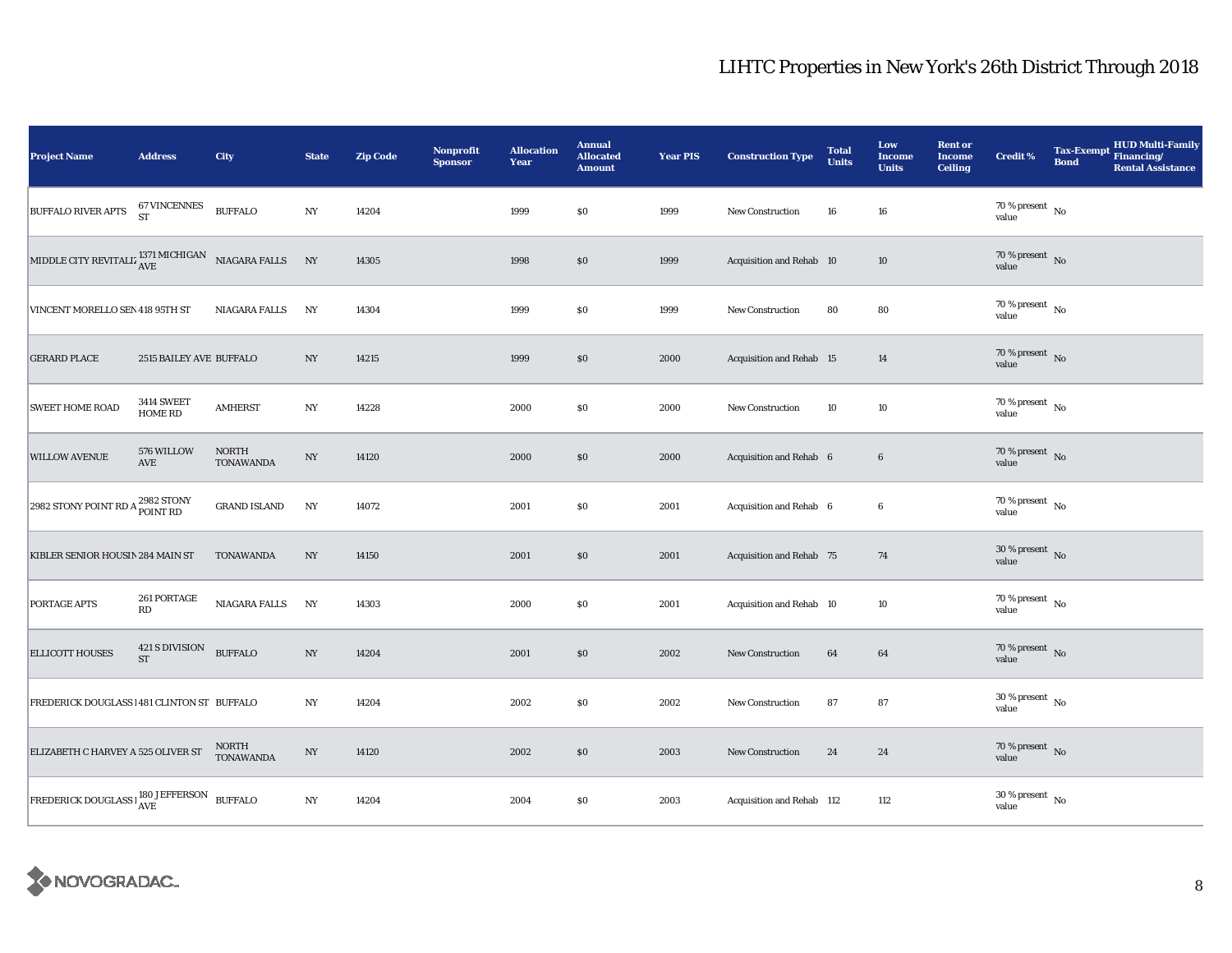| <b>Project Name</b>                                                                                                                   | <b>Address</b>               | <b>City</b>               | <b>State</b>     | <b>Zip Code</b> | <b>Nonprofit</b><br><b>Sponsor</b> | <b>Allocation</b><br>Year | <b>Annual</b><br><b>Allocated</b><br><b>Amount</b> | <b>Year PIS</b> | <b>Construction Type</b>  | <b>Total</b><br><b>Units</b> | Low<br><b>Income</b><br><b>Units</b> | <b>Rent or</b><br>Income<br><b>Ceiling</b> | <b>Credit %</b>                        | <b>Bond</b> | Tax-Exempt HUD Multi-Family<br><b>Rental Assistance</b> |
|---------------------------------------------------------------------------------------------------------------------------------------|------------------------------|---------------------------|------------------|-----------------|------------------------------------|---------------------------|----------------------------------------------------|-----------------|---------------------------|------------------------------|--------------------------------------|--------------------------------------------|----------------------------------------|-------------|---------------------------------------------------------|
| <b>BUFFALO RIVER APTS</b>                                                                                                             | 67 VINCENNES<br>ST           | <b>BUFFALO</b>            | $_{\mathrm{NY}}$ | 14204           |                                    | 1999                      | \$0                                                | 1999            | <b>New Construction</b>   | 16                           | ${\bf 16}$                           |                                            | $70\,\%$ present $\,$ No value         |             |                                                         |
| MIDDLE CITY REVITALIZ $_{\rm AVE}^{1371\,\rm MICHIGAN}$ NIAGARA FALLS                                                                 |                              |                           | NY               | 14305           |                                    | 1998                      | \$0                                                | 1999            | Acquisition and Rehab 10  |                              | 10                                   |                                            | 70 % present $\overline{N_0}$<br>value |             |                                                         |
| VINCENT MORELLO SEN 418 95TH ST                                                                                                       |                              | NIAGARA FALLS             | NY               | 14304           |                                    | 1999                      | \$0                                                | 1999            | New Construction          | 80                           | 80                                   |                                            | 70 % present $\hbox{~No}$<br>value     |             |                                                         |
| <b>GERARD PLACE</b>                                                                                                                   | 2515 BAILEY AVE BUFFALO      |                           | NY               | 14215           |                                    | 1999                      | \$0                                                | 2000            | Acquisition and Rehab 15  |                              | 14                                   |                                            | $70\,\%$ present $\,$ No value         |             |                                                         |
| <b>SWEET HOME ROAD</b>                                                                                                                | <b>3414 SWEET</b><br>HOME RD | <b>AMHERST</b>            | NY               | 14228           |                                    | 2000                      | \$0                                                | 2000            | New Construction          | 10                           | 10                                   |                                            | 70 % present $\hbox{~No}$<br>value     |             |                                                         |
| <b>WILLOW AVENUE</b>                                                                                                                  | 576 WILLOW<br>AVE            | <b>NORTH</b><br>TONAWANDA | $_{\mathrm{NY}}$ | 14120           |                                    | 2000                      | \$0                                                | 2000            | Acquisition and Rehab 6   |                              | $\bf 6$                              |                                            | $70\,\%$ present $\,$ No value         |             |                                                         |
| 2982 STONY POINT RD A 2982 STONY                                                                                                      |                              | <b>GRAND ISLAND</b>       | NY               | 14072           |                                    | 2001                      | \$0                                                | 2001            | Acquisition and Rehab 6   |                              | $\boldsymbol{6}$                     |                                            | 70 % present $\hbox{~No}$<br>value     |             |                                                         |
| KIBLER SENIOR HOUSIN 284 MAIN ST                                                                                                      |                              | TONAWANDA                 | NY               | 14150           |                                    | 2001                      | $\$0$                                              | 2001            | Acquisition and Rehab 75  |                              | 74                                   |                                            | $30\,\%$ present $\,$ No value         |             |                                                         |
| PORTAGE APTS                                                                                                                          | 261 PORTAGE<br>RD            | NIAGARA FALLS             | N <sub>Y</sub>   | 14303           |                                    | 2000                      | \$0                                                | 2001            | Acquisition and Rehab 10  |                              | 10                                   |                                            | $70$ % present $\,$ No $\,$<br>value   |             |                                                         |
| <b>ELLICOTT HOUSES</b>                                                                                                                | 421 S DIVISION<br><b>ST</b>  | <b>BUFFALO</b>            | $_{\mathrm{NY}}$ | 14204           |                                    | 2001                      | \$0                                                | 2002            | <b>New Construction</b>   | 64                           | 64                                   |                                            | 70 % present $\bar{N}$ o<br>value      |             |                                                         |
| FREDERICK DOUGLASS 1481 CLINTON ST BUFFALO                                                                                            |                              |                           | NY               | 14204           |                                    | 2002                      | \$0                                                | 2002            | New Construction          | 87                           | 87                                   |                                            | $30$ % present $\,$ No $\,$<br>value   |             |                                                         |
| ELIZABETH C HARVEY A 525 OLIVER ST                                                                                                    |                              | NORTH<br><b>TONAWANDA</b> | $_{\mathrm{NY}}$ | 14120           |                                    | 2002                      | \$0                                                | 2003            | New Construction          | 24                           | 24                                   |                                            | $70\,\%$ present $\,$ No value         |             |                                                         |
| $\boxed{\text{FREDERICK DOUGLASS}\,{}^1\!\!\!\!\!\begin{array}{c}\textbf{180}\textbf{J}\textbf{EFFERSON}\end{array}}\textbf{BUFFALO}$ |                              |                           | $_{\mathrm{NY}}$ | 14204           |                                    | 2004                      | \$0                                                | 2003            | Acquisition and Rehab 112 |                              | 112                                  |                                            | $30$ % present $\,$ No $\,$<br>value   |             |                                                         |